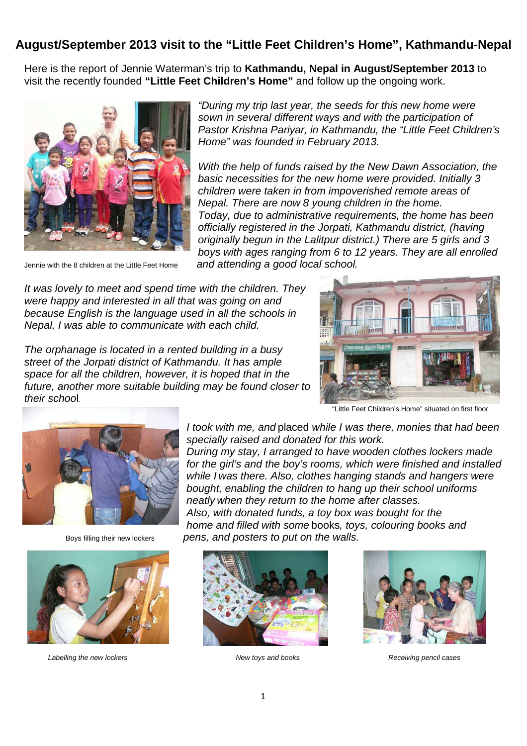## **August/September 2013 visit to the "Little Feet Children's Home", Kathmandu-Nepal**

Here is the report of Jennie Waterman's trip to **Kathmandu, Nepal in August/September 2013** to visit the recently founded **"Little Feet Children's Home"** and follow up the ongoing work.



"During my trip last year, the seeds for this new home were sown in several different ways and with the participation of Pastor Krishna Pariyar, in Kathmandu, the "Little Feet Children's Home" was founded in February 2013.

With the help of funds raised by the New Dawn Association, the basic necessities for the new home were provided. Initially 3 children were taken in from impoverished remote areas of Nepal. There are now 8 young children in the home. Today, due to administrative requirements, the home has been officially registered in the Jorpati, Kathmandu district, (having originally begun in the Lalitpur district.) There are 5 girls and 3 boys with ages ranging from 6 to 12 years. They are all enrolled Jennie with the 8 children at the Little Feet Home and attending a good local school.

It was lovely to meet and spend time with the children. They were happy and interested in all that was going on and because English is the language used in all the schools in Nepal, I was able to communicate with each child.

The orphanage is located in a rented building in a busy street of the Jorpati district of Kathmandu. It has ample space for all the children, however, it is hoped that in the future, another more suitable building may be found closer to their school.



"Little Feet Children's Home" situated on first floor





Labelling the new lockers extending the new lockers New toys and books and books Receiving pencil cases

I took with me, and placed while I was there, monies that had been specially raised and donated for this work.

During my stay, I arranged to have wooden clothes lockers made for the girl's and the boy's rooms, which were finished and installed while I was there. Also, clothes hanging stands and hangers were bought, enabling the children to hang up their school uniforms neatly when they return to the home after classes. Also, with donated funds, a toy box was bought for the home and filled with some books, toys, colouring books and

Boys filling their new lockers pens, and posters to put on the walls.